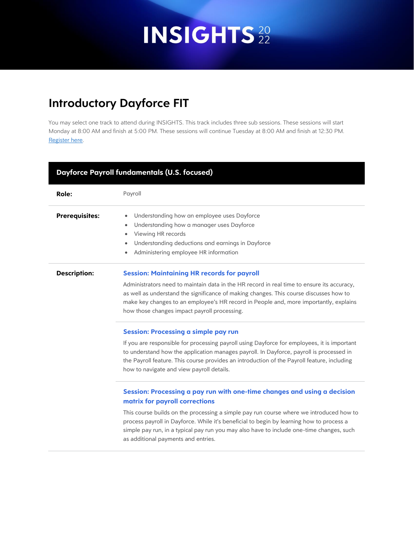### **Introductory Dayforce FIT**

| <b>Dayforce Payroll fundamentals (U.S. focused)</b> |                                                                                                                                                                                                                                                                                                                                                                                                                                      |  |  |
|-----------------------------------------------------|--------------------------------------------------------------------------------------------------------------------------------------------------------------------------------------------------------------------------------------------------------------------------------------------------------------------------------------------------------------------------------------------------------------------------------------|--|--|
| Role:                                               | Payroll                                                                                                                                                                                                                                                                                                                                                                                                                              |  |  |
| <b>Prerequisites:</b>                               | Understanding how an employee uses Dayforce<br>٠<br>Understanding how a manager uses Dayforce<br>$\bullet$<br>Viewing HR records<br>٠<br>Understanding deductions and earnings in Dayforce<br>۰<br>Administering employee HR information<br>٠                                                                                                                                                                                        |  |  |
| <b>Description:</b>                                 | <b>Session: Maintaining HR records for payroll</b><br>Administrators need to maintain data in the HR record in real time to ensure its accuracy,<br>as well as understand the significance of making changes. This course discusses how to<br>make key changes to an employee's HR record in People and, more importantly, explains<br>how those changes impact payroll processing.                                                  |  |  |
|                                                     | <b>Session: Processing a simple pay run</b><br>If you are responsible for processing payroll using Dayforce for employees, it is important<br>to understand how the application manages payroll. In Dayforce, payroll is processed in<br>the Payroll feature. This course provides an introduction of the Payroll feature, including<br>how to navigate and view payroll details.                                                    |  |  |
|                                                     | Session: Processing a pay run with one-time changes and using a decision<br>matrix for payroll corrections<br>This course builds on the processing a simple pay run course where we introduced how to<br>process payroll in Dayforce. While it's beneficial to begin by learning how to process a<br>simple pay run, in a typical pay run you may also have to include one-time changes, such<br>as additional payments and entries. |  |  |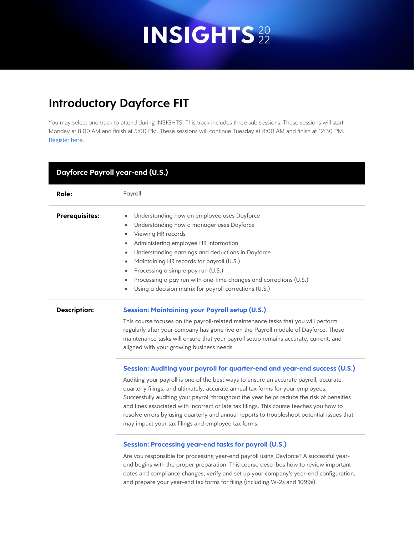### **Introductory Dayforce FIT**

| Dayforce Payroll year-end (U.S.) |                                                                                                                                                                                                                                                                                                                                                                                                                                                                                                                                                                                                      |  |  |
|----------------------------------|------------------------------------------------------------------------------------------------------------------------------------------------------------------------------------------------------------------------------------------------------------------------------------------------------------------------------------------------------------------------------------------------------------------------------------------------------------------------------------------------------------------------------------------------------------------------------------------------------|--|--|
| Role:                            | Payroll                                                                                                                                                                                                                                                                                                                                                                                                                                                                                                                                                                                              |  |  |
| <b>Prerequisites:</b>            | Understanding how an employee uses Dayforce<br>Understanding how a manager uses Dayforce<br>$\bullet$<br>Viewing HR records<br>٠<br>Administering employee HR information<br>$\bullet$<br>Understanding earnings and deductions in Dayforce<br>٠<br>Maintaining HR records for payroll (U.S.)<br>٠<br>Processing a simple pay run (U.S.)<br>٠<br>Processing a pay run with one-time changes and corrections (U.S.)<br>٠<br>Using a decision matrix for payroll corrections (U.S.)<br>$\bullet$                                                                                                       |  |  |
| <b>Description:</b>              | <b>Session: Maintaining your Payroll setup (U.S.)</b><br>This course focuses on the payroll-related maintenance tasks that you will perform<br>regularly after your company has gone live on the Payroll module of Dayforce. These<br>maintenance tasks will ensure that your payroll setup remains accurate, current, and<br>aligned with your growing business needs.                                                                                                                                                                                                                              |  |  |
|                                  | Session: Auditing your payroll for quarter-end and year-end success (U.S.)<br>Auditing your payroll is one of the best ways to ensure an accurate payroll, accurate<br>quarterly filings, and ultimately, accurate annual tax forms for your employees.<br>Successfully auditing your payroll throughout the year helps reduce the risk of penalties<br>and fines associated with incorrect or late tax filings. This course teaches you how to<br>resolve errors by using quarterly and annual reports to troubleshoot potential issues that<br>may impact your tax filings and employee tax forms. |  |  |
|                                  | <b>Session: Processing year-end tasks for payroll (U.S.)</b><br>Are you responsible for processing year-end payroll using Dayforce? A successful year-<br>end begins with the proper preparation. This course describes how to review important<br>dates and compliance changes, verify and set up your company's year-end configuration,<br>and prepare your year-end tax forms for filing (including W-2s and 1099s).                                                                                                                                                                              |  |  |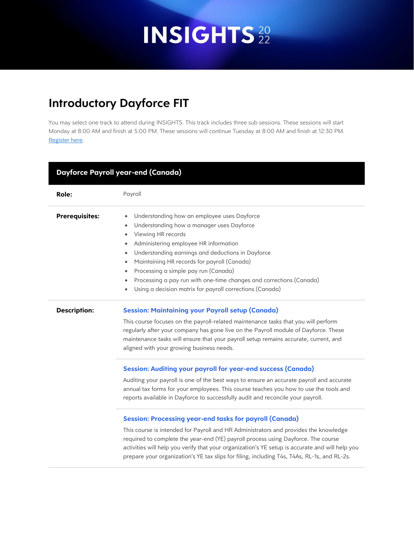### **Introductory Dayforce FIT**

| <b>Dayforce Payroll year-end (Canada)</b> |                                                                                                                                                                                                                                                                                                                                                                                                                                                                                                        |  |  |
|-------------------------------------------|--------------------------------------------------------------------------------------------------------------------------------------------------------------------------------------------------------------------------------------------------------------------------------------------------------------------------------------------------------------------------------------------------------------------------------------------------------------------------------------------------------|--|--|
| Role:                                     | Payroll                                                                                                                                                                                                                                                                                                                                                                                                                                                                                                |  |  |
| <b>Prerequisites:</b>                     | Understanding how an employee uses Dayforce<br>$\bullet$<br>Understanding how a manager uses Dayforce<br>Viewing HR records<br>٠<br>Administering employee HR information<br>٠<br>Understanding earnings and deductions in Dayforce<br>۰<br>Maintaining HR records for payroll (Canada)<br>$\bullet$<br>Processing a simple pay run (Canada)<br>$\bullet$<br>Processing a pay run with one-time changes and corrections (Canada)<br>۰<br>Using a decision matrix for payroll corrections (Canada)<br>٠ |  |  |
| <b>Description:</b>                       | <b>Session: Maintaining your Payroll setup (Canada)</b><br>This course focuses on the payroll-related maintenance tasks that you will perform<br>regularly after your company has gone live on the Payroll module of Dayforce. These<br>maintenance tasks will ensure that your payroll setup remains accurate, current, and<br>aligned with your growing business needs.                                                                                                                              |  |  |
|                                           | <b>Session: Auditing your payroll for year-end success (Canada)</b><br>Auditing your payroll is one of the best ways to ensure an accurate payroll and accurate<br>annual tax forms for your employees. This course teaches you how to use the tools and<br>reports available in Dayforce to successfully audit and reconcile your payroll.                                                                                                                                                            |  |  |
|                                           | <b>Session: Processing year-end tasks for payroll (Canada)</b><br>This course is intended for Payroll and HR Administrators and provides the knowledge<br>required to complete the year-end (YE) payroll process using Dayforce. The course<br>activities will help you verify that your organization's YE setup is accurate and will help you<br>prepare your organization's YE tax slips for filing, including T4s, T4As, RL-1s, and RL-2s.                                                          |  |  |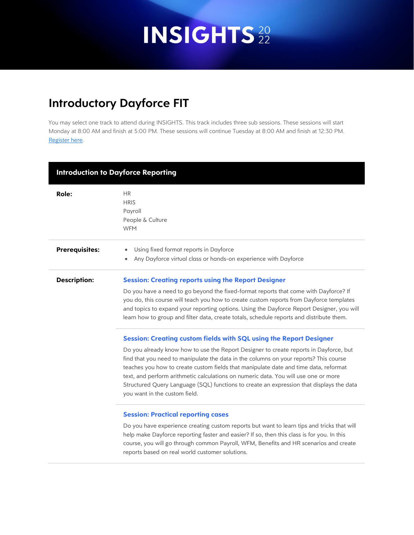### **Introductory Dayforce FIT**

| <b>Introduction to Dayforce Reporting</b> |                                                                                                                                                                                                                                                                                                                                                                                                                                                                                            |  |  |
|-------------------------------------------|--------------------------------------------------------------------------------------------------------------------------------------------------------------------------------------------------------------------------------------------------------------------------------------------------------------------------------------------------------------------------------------------------------------------------------------------------------------------------------------------|--|--|
| Role:                                     | <b>HR</b><br><b>HRIS</b><br>Payroll<br>People & Culture<br><b>WFM</b>                                                                                                                                                                                                                                                                                                                                                                                                                      |  |  |
| <b>Prerequisites:</b>                     | Using fixed format reports in Dayforce<br>۰<br>Any Dayforce virtual class or hands-on experience with Dayforce                                                                                                                                                                                                                                                                                                                                                                             |  |  |
| <b>Description:</b>                       | <b>Session: Creating reports using the Report Designer</b>                                                                                                                                                                                                                                                                                                                                                                                                                                 |  |  |
|                                           | Do you have a need to go beyond the fixed-format reports that come with Dayforce? If<br>you do, this course will teach you how to create custom reports from Dayforce templates<br>and topics to expand your reporting options. Using the Dayforce Report Designer, you will<br>learn how to group and filter data, create totals, schedule reports and distribute them.                                                                                                                   |  |  |
|                                           | <b>Session: Creating custom fields with SQL using the Report Designer</b>                                                                                                                                                                                                                                                                                                                                                                                                                  |  |  |
|                                           | Do you already know how to use the Report Designer to create reports in Dayforce, but<br>find that you need to manipulate the data in the columns on your reports? This course<br>teaches you how to create custom fields that manipulate date and time data, reformat<br>text, and perform arithmetic calculations on numeric data. You will use one or more<br>Structured Query Language (SQL) functions to create an expression that displays the data<br>you want in the custom field. |  |  |
|                                           | <b>Session: Practical reporting cases</b>                                                                                                                                                                                                                                                                                                                                                                                                                                                  |  |  |
|                                           | Do you have experience creating custom reports but want to learn tips and tricks that will<br>help make Dayforce reporting faster and easier? If so, then this class is for you. In this<br>course, you will go through common Payroll, WFM, Benefits and HR scenarios and create<br>reports based on real world customer solutions.                                                                                                                                                       |  |  |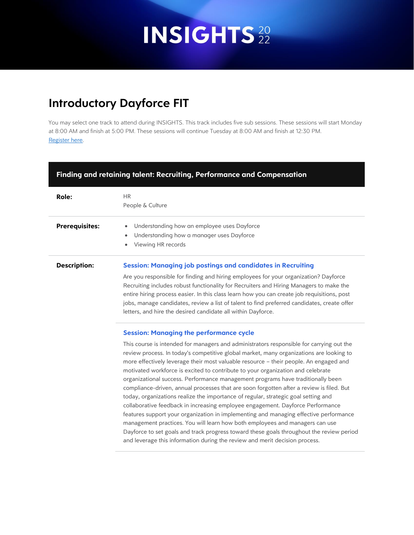### **Introductory Dayforce FIT**

| Finding and retaining talent: Recruiting, Performance and Compensation |                                                                                                                                                                                                                                                                                                                                                                                                                                                                                                                                                                                                                                                                                                                                                                                                                                                                                                                                                                                                                                                                                                                              |  |  |
|------------------------------------------------------------------------|------------------------------------------------------------------------------------------------------------------------------------------------------------------------------------------------------------------------------------------------------------------------------------------------------------------------------------------------------------------------------------------------------------------------------------------------------------------------------------------------------------------------------------------------------------------------------------------------------------------------------------------------------------------------------------------------------------------------------------------------------------------------------------------------------------------------------------------------------------------------------------------------------------------------------------------------------------------------------------------------------------------------------------------------------------------------------------------------------------------------------|--|--|
| <b>Role:</b>                                                           | <b>HR</b><br>People & Culture                                                                                                                                                                                                                                                                                                                                                                                                                                                                                                                                                                                                                                                                                                                                                                                                                                                                                                                                                                                                                                                                                                |  |  |
| <b>Prerequisites:</b>                                                  | Understanding how an employee uses Dayforce<br>٠<br>Understanding how a manager uses Dayforce<br>٠<br>Viewing HR records<br>$\bullet$                                                                                                                                                                                                                                                                                                                                                                                                                                                                                                                                                                                                                                                                                                                                                                                                                                                                                                                                                                                        |  |  |
| <b>Description:</b>                                                    | <b>Session: Managing job postings and candidates in Recruiting</b><br>Are you responsible for finding and hiring employees for your organization? Dayforce<br>Recruiting includes robust functionality for Recruiters and Hiring Managers to make the<br>entire hiring process easier. In this class learn how you can create job requisitions, post<br>jobs, manage candidates, review a list of talent to find preferred candidates, create offer<br>letters, and hire the desired candidate all within Dayforce.                                                                                                                                                                                                                                                                                                                                                                                                                                                                                                                                                                                                          |  |  |
|                                                                        | <b>Session: Managing the performance cycle</b><br>This course is intended for managers and administrators responsible for carrying out the<br>review process. In today's competitive global market, many organizations are looking to<br>more effectively leverage their most valuable resource - their people. An engaged and<br>motivated workforce is excited to contribute to your organization and celebrate<br>organizational success. Performance management programs have traditionally been<br>compliance-driven, annual processes that are soon forgotten after a review is filed. But<br>today, organizations realize the importance of regular, strategic goal setting and<br>collaborative feedback in increasing employee engagement. Dayforce Performance<br>features support your organization in implementing and managing effective performance<br>management practices. You will learn how both employees and managers can use<br>Dayforce to set goals and track progress toward these goals throughout the review period<br>and leverage this information during the review and merit decision process. |  |  |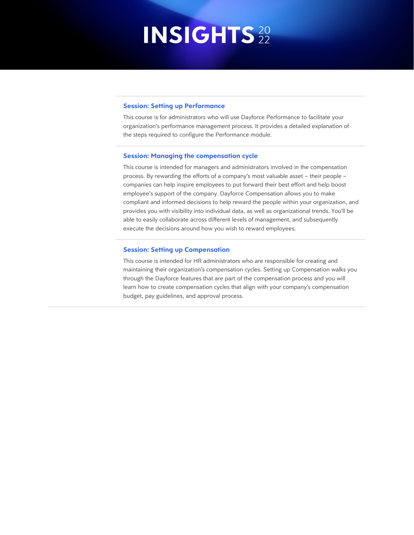#### **Session: Setting up Performance**

This course is for administrators who will use Dayforce Performance to facilitate your organization's performance management process. It provides a detailed explanation of the steps required to configure the Performance module.

#### **Session: Managing the compensation cycle**

This course is intended for managers and administrators involved in the compensation process. By rewarding the efforts of a company's most valuable asset – their people – companies can help inspire employees to put forward their best effort and help boost employee's support of the company. Dayforce Compensation allows you to make compliant and informed decisions to help reward the people within your organization, and provides you with visibility into individual data, as well as organizational trends. You'll be able to easily collaborate across different levels of management, and subsequently execute the decisions around how you wish to reward employees.

#### **Session: Setting up Compensation**

This course is intended for HR administrators who are responsible for creating and maintaining their organization's compensation cycles. Setting up Compensation walks you through the Dayforce features that are part of the compensation process and you will learn how to create compensation cycles that align with your company's compensation budget, pay guidelines, and approval process.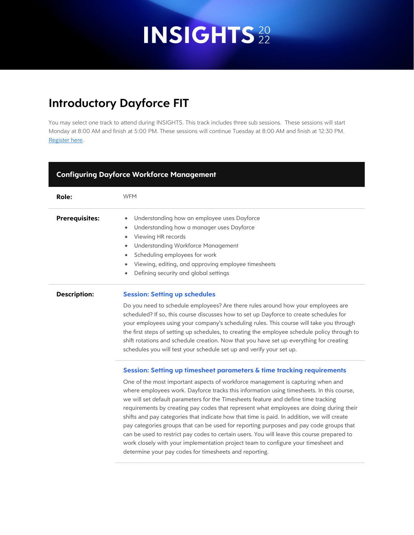### **Introductory Dayforce FIT**

You may select one track to attend during INSIGHTS. This track includes three sub sessions. These sessions will start Monday at 8:00 AM and finish at 5:00 PM. These sessions will continue Tuesday at 8:00 AM and finish at 12:30 PM. [Register here.](https://web.cvent.com/event/3a06814c-3fe4-4efb-ba6c-12f79fa852eb/summary)

| <b>Configuring Dayforce Workforce Management</b> |                                                                                                                                                                                                                                                                                                                                                                                                                                                                                                                                                                                                                                                                                                                                                                                                                   |  |
|--------------------------------------------------|-------------------------------------------------------------------------------------------------------------------------------------------------------------------------------------------------------------------------------------------------------------------------------------------------------------------------------------------------------------------------------------------------------------------------------------------------------------------------------------------------------------------------------------------------------------------------------------------------------------------------------------------------------------------------------------------------------------------------------------------------------------------------------------------------------------------|--|
| <b>Role:</b>                                     | <b>WFM</b>                                                                                                                                                                                                                                                                                                                                                                                                                                                                                                                                                                                                                                                                                                                                                                                                        |  |
| <b>Prerequisites:</b>                            | Understanding how an employee uses Dayforce<br>Understanding how a manager uses Dayforce<br>$\bullet$<br>Viewing HR records<br>$\bullet$<br><b>Understanding Workforce Management</b><br>$\bullet$<br>Scheduling employees for work<br>$\bullet$<br>Viewing, editing, and approving employee timesheets<br>$\bullet$<br>Defining security and global settings<br>$\bullet$                                                                                                                                                                                                                                                                                                                                                                                                                                        |  |
| <b>Description:</b>                              | <b>Session: Setting up schedules</b><br>Do you need to schedule employees? Are there rules around how your employees are<br>scheduled? If so, this course discusses how to set up Dayforce to create schedules for<br>your employees using your company's scheduling rules. This course will take you through<br>the first steps of setting up schedules, to creating the employee schedule policy through to<br>shift rotations and schedule creation. Now that you have set up everything for creating<br>schedules you will test your schedule set up and verify your set up.                                                                                                                                                                                                                                  |  |
|                                                  | Session: Setting up timesheet parameters & time tracking requirements<br>One of the most important aspects of workforce management is capturing when and<br>where employees work. Dayforce tracks this information using timesheets. In this course,<br>we will set default parameters for the Timesheets feature and define time tracking<br>requirements by creating pay codes that represent what employees are doing during their<br>shifts and pay categories that indicate how that time is paid. In addition, we will create<br>pay categories groups that can be used for reporting purposes and pay code groups that<br>can be used to restrict pay codes to certain users. You will leave this course prepared to<br>work closely with your implementation project team to configure your timesheet and |  |

determine your pay codes for timesheets and reporting.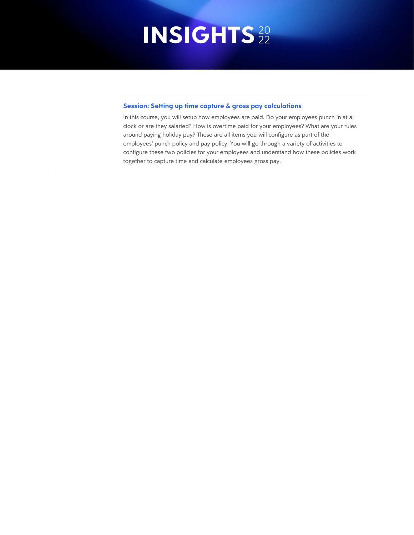#### **Session: Setting up time capture & gross pay calculations**

In this course, you will setup how employees are paid. Do your employees punch in at a clock or are they salaried? How is overtime paid for your employees? What are your rules around paying holiday pay? These are all items you will configure as part of the employees' punch policy and pay policy. You will go through a variety of activities to configure these two policies for your employees and understand how these policies work together to capture time and calculate employees gross pay.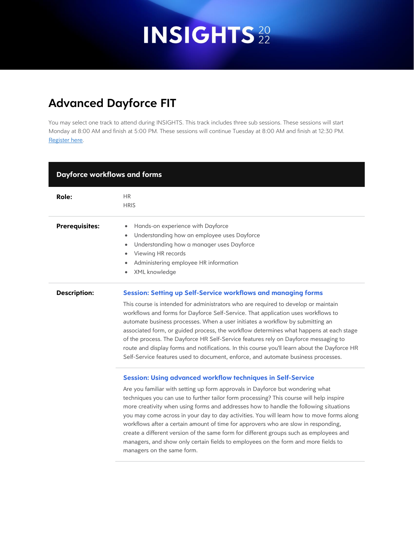### **Advanced Dayforce FIT**

| <b>Dayforce workflows and forms</b> |                                                                                                                                                                                                                                                                                                                                                                                                                                                                                                                                                                                                                                                                                                                                           |  |
|-------------------------------------|-------------------------------------------------------------------------------------------------------------------------------------------------------------------------------------------------------------------------------------------------------------------------------------------------------------------------------------------------------------------------------------------------------------------------------------------------------------------------------------------------------------------------------------------------------------------------------------------------------------------------------------------------------------------------------------------------------------------------------------------|--|
| Role:                               | <b>HR</b><br><b>HRIS</b>                                                                                                                                                                                                                                                                                                                                                                                                                                                                                                                                                                                                                                                                                                                  |  |
| <b>Prerequisites:</b>               | Hands-on experience with Dayforce<br>Understanding how an employee uses Dayforce<br>$\bullet$<br>Understanding how a manager uses Dayforce<br>$\bullet$<br>Viewing HR records<br>$\bullet$<br>Administering employee HR information<br>XML knowledge                                                                                                                                                                                                                                                                                                                                                                                                                                                                                      |  |
| <b>Description:</b>                 | <b>Session: Setting up Self-Service workflows and managing forms</b><br>This course is intended for administrators who are required to develop or maintain<br>workflows and forms for Dayforce Self-Service. That application uses workflows to<br>automate business processes. When a user initiates a workflow by submitting an<br>associated form, or guided process, the workflow determines what happens at each stage<br>of the process. The Dayforce HR Self-Service features rely on Dayforce messaging to<br>route and display forms and notifications. In this course you'll learn about the Dayforce HR<br>Self-Service features used to document, enforce, and automate business processes.                                   |  |
|                                     | <b>Session: Using advanced workflow techniques in Self-Service</b><br>Are you familiar with setting up form approvals in Dayforce but wondering what<br>techniques you can use to further tailor form processing? This course will help inspire<br>more creativity when using forms and addresses how to handle the following situations<br>you may come across in your day to day activities. You will learn how to move forms along<br>workflows after a certain amount of time for approvers who are slow in responding,<br>create a different version of the same form for different groups such as employees and<br>managers, and show only certain fields to employees on the form and more fields to<br>managers on the same form. |  |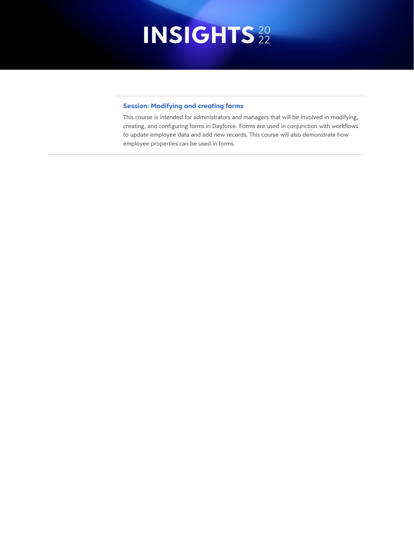### **Session: Modifying and creating forms**

This course is intended for administrators and managers that will be involved in modifying, creating, and configuring forms in Dayforce. Forms are used in conjunction with workflows to update employee data and add new records. This course will also demonstrate how employee properties can be used in forms.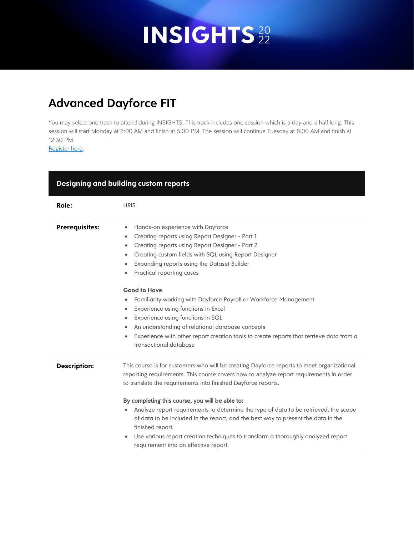### **Advanced Dayforce FIT**

You may select one track to attend during INSIGHTS. This track includes one session which is a day and a half long. This session will start Monday at 8:00 AM and finish at 5:00 PM. The session will continue Tuesday at 8:00 AM and finish at 12:30 PM.

[Register here.](https://web.cvent.com/event/3a06814c-3fe4-4efb-ba6c-12f79fa852eb/summary)

| Designing and building custom reports |                                                                                                                                                                                                                                                                                                                                                                                                                                                                                                                                                                                                                                            |  |
|---------------------------------------|--------------------------------------------------------------------------------------------------------------------------------------------------------------------------------------------------------------------------------------------------------------------------------------------------------------------------------------------------------------------------------------------------------------------------------------------------------------------------------------------------------------------------------------------------------------------------------------------------------------------------------------------|--|
| Role:                                 | <b>HRIS</b>                                                                                                                                                                                                                                                                                                                                                                                                                                                                                                                                                                                                                                |  |
| <b>Prerequisites:</b>                 | Hands-on experience with Dayforce<br>٠<br>Creating reports using Report Designer - Part 1<br>$\bullet$<br>Creating reports using Report Designer - Part 2<br>Creating custom fields with SQL using Report Designer<br>٠<br>Expanding reports using the Dataset Builder<br>٠<br>Practical reporting cases<br>٠                                                                                                                                                                                                                                                                                                                              |  |
|                                       | <b>Good to Have</b><br>Familiarity working with Dayforce Payroll or Workforce Management<br>$\bullet$<br>Experience using functions in Excel<br>٠<br>Experience using functions in SQL<br>$\bullet$<br>An understanding of relational database concepts<br>Experience with other report creation tools to create reports that retrieve data from a<br>$\bullet$<br>transactional database                                                                                                                                                                                                                                                  |  |
| <b>Description:</b>                   | This course is for customers who will be creating Dayforce reports to meet organizational<br>reporting requirements. This course covers how to analyze report requirements in order<br>to translate the requirements into finished Dayforce reports.<br>By completing this course, you will be able to:<br>Analyze report requirements to determine the type of data to be retrieved, the scope<br>of data to be included in the report, and the best way to present the data in the<br>finished report.<br>Use various report creation techniques to transform a thoroughly analyzed report<br>٠<br>requirement into an effective report. |  |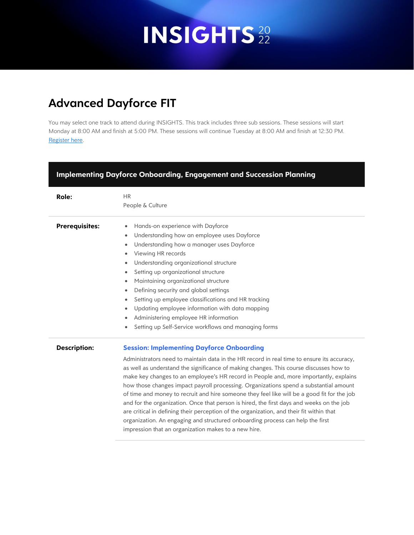### **Advanced Dayforce FIT**

| <b>Implementing Dayforce Onboarding, Engagement and Succession Planning</b> |                                                                                                                                                                                                                                                                                                                                                                                                                                                                                                                                                                                                                                                                                                                                                                                                                                                             |  |  |  |  |
|-----------------------------------------------------------------------------|-------------------------------------------------------------------------------------------------------------------------------------------------------------------------------------------------------------------------------------------------------------------------------------------------------------------------------------------------------------------------------------------------------------------------------------------------------------------------------------------------------------------------------------------------------------------------------------------------------------------------------------------------------------------------------------------------------------------------------------------------------------------------------------------------------------------------------------------------------------|--|--|--|--|
| <b>Role:</b>                                                                | <b>HR</b><br>People & Culture                                                                                                                                                                                                                                                                                                                                                                                                                                                                                                                                                                                                                                                                                                                                                                                                                               |  |  |  |  |
| <b>Prerequisites:</b>                                                       | Hands-on experience with Dayforce<br>$\bullet$<br>Understanding how an employee uses Dayforce<br>٠<br>Understanding how a manager uses Dayforce<br>٠<br>Viewing HR records<br>Understanding organizational structure<br>$\bullet$<br>Setting up organizational structure<br>$\bullet$<br>Maintaining organizational structure<br>$\bullet$<br>Defining security and global settings<br>$\bullet$<br>Setting up employee classifications and HR tracking<br>$\bullet$<br>Updating employee information with data mapping<br>$\bullet$<br>Administering employee HR information<br>$\bullet$<br>Setting up Self-Service workflows and managing forms                                                                                                                                                                                                          |  |  |  |  |
| <b>Description:</b>                                                         | <b>Session: Implementing Dayforce Onboarding</b><br>Administrators need to maintain data in the HR record in real time to ensure its accuracy,<br>as well as understand the significance of making changes. This course discusses how to<br>make key changes to an employee's HR record in People and, more importantly, explains<br>how those changes impact payroll processing. Organizations spend a substantial amount<br>of time and money to recruit and hire someone they feel like will be a good fit for the job<br>and for the organization. Once that person is hired, the first days and weeks on the job<br>are critical in defining their perception of the organization, and their fit within that<br>organization. An engaging and structured onboarding process can help the first<br>impression that an organization makes to a new hire. |  |  |  |  |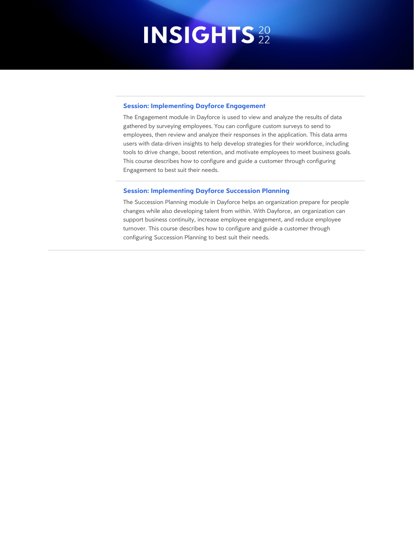#### **Session: Implementing Dayforce Engagement**

The Engagement module in Dayforce is used to view and analyze the results of data gathered by surveying employees. You can configure custom surveys to send to employees, then review and analyze their responses in the application. This data arms users with data-driven insights to help develop strategies for their workforce, including tools to drive change, boost retention, and motivate employees to meet business goals. This course describes how to configure and guide a customer through configuring Engagement to best suit their needs.

#### **Session: Implementing Dayforce Succession Planning**

The Succession Planning module in Dayforce helps an organization prepare for people changes while also developing talent from within. With Dayforce, an organization can support business continuity, increase employee engagement, and reduce employee turnover. This course describes how to configure and guide a customer through configuring Succession Planning to best suit their needs.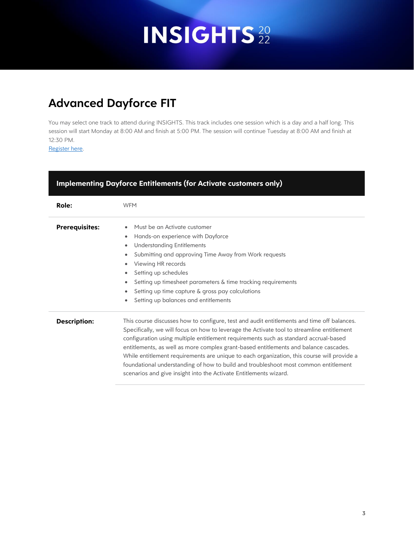### **Advanced Dayforce FIT**

You may select one track to attend during INSIGHTS. This track includes one session which is a day and a half long. This session will start Monday at 8:00 AM and finish at 5:00 PM. The session will continue Tuesday at 8:00 AM and finish at 12:30 PM.

[Register here.](https://web.cvent.com/event/3a06814c-3fe4-4efb-ba6c-12f79fa852eb/summary)

| <b>Implementing Dayforce Entitlements (for Activate customers only)</b> |                                                                                                                                                                                                                                                                                                                                                                                                                                                                                                                                                                                                                                    |  |
|-------------------------------------------------------------------------|------------------------------------------------------------------------------------------------------------------------------------------------------------------------------------------------------------------------------------------------------------------------------------------------------------------------------------------------------------------------------------------------------------------------------------------------------------------------------------------------------------------------------------------------------------------------------------------------------------------------------------|--|
| Role:                                                                   | <b>WFM</b>                                                                                                                                                                                                                                                                                                                                                                                                                                                                                                                                                                                                                         |  |
| <b>Prerequisites:</b>                                                   | Must be an Activate customer<br>Hands-on experience with Dayforce<br>٠<br><b>Understanding Entitlements</b><br>٠<br>Submitting and approving Time Away from Work requests<br>٠<br>Viewing HR records<br>Setting up schedules<br>٠<br>Setting up timesheet parameters & time tracking requirements<br>$\bullet$<br>Setting up time capture & gross pay calculations<br>Setting up balances and entitlements                                                                                                                                                                                                                         |  |
| <b>Description:</b>                                                     | This course discusses how to configure, test and audit entitlements and time off balances.<br>Specifically, we will focus on how to leverage the Activate tool to streamline entitlement<br>configuration using multiple entitlement requirements such as standard accrual-based<br>entitlements, as well as more complex grant-based entitlements and balance cascades.<br>While entitlement requirements are unique to each organization, this course will provide a<br>foundational understanding of how to build and troubleshoot most common entitlement<br>scenarios and give insight into the Activate Entitlements wizard. |  |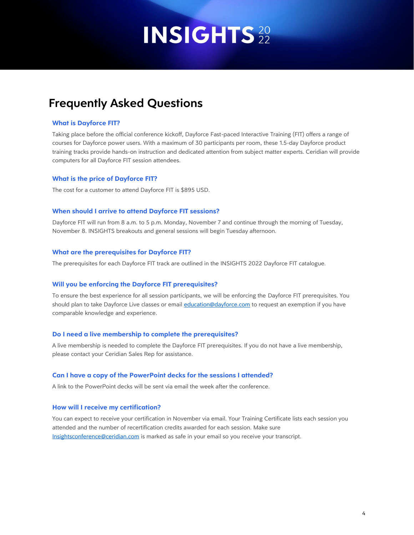### **Frequently Asked Questions**

### **What is Dayforce FIT?**

Taking place before the official conference kickoff, Dayforce Fast-paced Interactive Training (FIT) offers a range of courses for Dayforce power users. With a maximum of 30 participants per room, these 1.5-day Dayforce product training tracks provide hands-on instruction and dedicated attention from subject matter experts. Ceridian will provide computers for all Dayforce FIT session attendees.

#### **What is the price of Dayforce FIT?**

The cost for a customer to attend Dayforce FIT is \$895 USD.

#### **When should I arrive to attend Dayforce FIT sessions?**

Dayforce FIT will run from 8 a.m. to 5 p.m. Monday, November 7 and continue through the morning of Tuesday, November 8. INSIGHTS breakouts and general sessions will begin Tuesday afternoon.

#### **What are the prerequisites for Dayforce FIT?**

The prerequisites for each Dayforce FIT track are outlined in the INSIGHTS 2022 Dayforce FIT catalogue.

### **Will you be enforcing the Dayforce FIT prerequisites?**

To ensure the best experience for all session participants, we will be enforcing the Dayforce FIT prerequisites. You should plan to take Dayforce Live classes or email [education@dayforce.com](mailto:education@dayforce.com) to request an exemption if you have comparable knowledge and experience.

#### **Do I need a live membership to complete the prerequisites?**

A live membership is needed to complete the Dayforce FIT prerequisites. If you do not have a live membership, please contact your Ceridian Sales Rep for assistance.

### **Can I have a copy of the PowerPoint decks for the sessions I attended?**

A link to the PowerPoint decks will be sent via email the week after the conference.

#### **How will I receive my certification?**

You can expect to receive your certification in November via email. Your Training Certificate lists each session you attended and the number of recertification credits awarded for each session. Make sure [Insightsconference@ceridian.com](mailto:Insightsconference@ceridian.com) is marked as safe in your email so you receive your transcript.